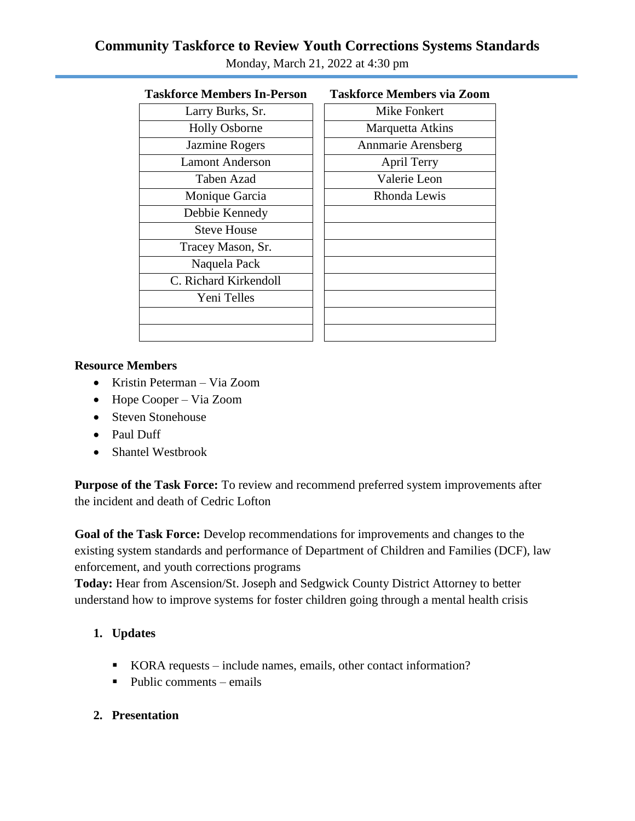# **Community Taskforce to Review Youth Corrections Systems Standards**

| 1 asktorce members in-Person | l askiorce iviembers via |
|------------------------------|--------------------------|
| Larry Burks, Sr.             | Mike Fonkert             |
| <b>Holly Osborne</b>         | <b>Marquetta Atkins</b>  |
| Jazmine Rogers               | Annmarie Arensber        |
| <b>Lamont Anderson</b>       | April Terry              |
| Taben Azad                   | Valerie Leon             |
| Monique Garcia               | Rhonda Lewis             |
| Debbie Kennedy               |                          |
| <b>Steve House</b>           |                          |
| Tracey Mason, Sr.            |                          |
| Naquela Pack                 |                          |
| C. Richard Kirkendoll        |                          |
| Yeni Telles                  |                          |
|                              |                          |
|                              |                          |
|                              |                          |

| ce Members In-Person  | Taskforce Members via Zoom |
|-----------------------|----------------------------|
| Larry Burks, Sr.      | <b>Mike Fonkert</b>        |
| <b>Holly Osborne</b>  | Marquetta Atkins           |
| <b>Jazmine Rogers</b> | Annmarie Arensberg         |
| amont Anderson        | April Terry                |
| Taben Azad            | Valerie Leon               |
| Monique Garcia        | Rhonda Lewis               |
| Debbie Kennedy        |                            |
| <b>Steve House</b>    |                            |
| racey Mason, Sr.      |                            |
| Naquela Pack          |                            |
| Richard Kirkendoll    |                            |
| Yeni Telles           |                            |
|                       |                            |

## Monday, March 21, 2022 at 4:30 pm

#### **Taskforce Members In-Person Taskforce Members via Zoom**

#### **Resource Members**

- Kristin Peterman Via Zoom
- Hope Cooper Via Zoom
- Steven Stonehouse
- Paul Duff
- Shantel Westbrook

**Purpose of the Task Force:** To review and recommend preferred system improvements after the incident and death of Cedric Lofton

**Goal of the Task Force:** Develop recommendations for improvements and changes to the existing system standards and performance of Department of Children and Families (DCF), law enforcement, and youth corrections programs

**Today:** Hear from Ascension/St. Joseph and Sedgwick County District Attorney to better understand how to improve systems for foster children going through a mental health crisis

### **1. Updates**

- KORA requests include names, emails, other contact information?
- Public comments emails
- **2. Presentation**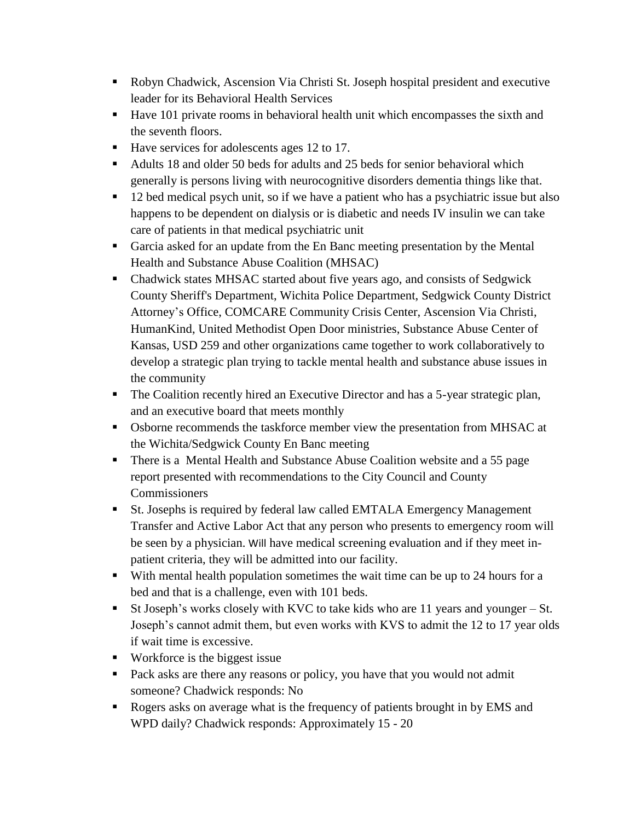- Robyn Chadwick, Ascension Via Christi St. Joseph hospital president and executive leader for its Behavioral Health Services
- Have 101 private rooms in behavioral health unit which encompasses the sixth and the seventh floors.
- Have services for adolescents ages 12 to 17.
- Adults 18 and older 50 beds for adults and 25 beds for senior behavioral which generally is persons living with neurocognitive disorders dementia things like that.
- <sup>12</sup> bed medical psych unit, so if we have a patient who has a psychiatric issue but also happens to be dependent on dialysis or is diabetic and needs IV insulin we can take care of patients in that medical psychiatric unit
- Garcia asked for an update from the En Banc meeting presentation by the Mental Health and Substance Abuse Coalition (MHSAC)
- Chadwick states MHSAC started about five years ago, and consists of Sedgwick County Sheriff's Department, Wichita Police Department, Sedgwick County District Attorney's Office, COMCARE Community Crisis Center, Ascension Via Christi, HumanKind, United Methodist Open Door ministries, Substance Abuse Center of Kansas, USD 259 and other organizations came together to work collaboratively to develop a strategic plan trying to tackle mental health and substance abuse issues in the community
- The Coalition recently hired an Executive Director and has a 5-year strategic plan, and an executive board that meets monthly
- Osborne recommends the taskforce member view the presentation from MHSAC at the Wichita/Sedgwick County En Banc meeting
- There is a Mental Health and Substance Abuse Coalition website and a 55 page report presented with recommendations to the City Council and County Commissioners
- St. Josephs is required by federal law called EMTALA Emergency Management Transfer and Active Labor Act that any person who presents to emergency room will be seen by a physician. Will have medical screening evaluation and if they meet inpatient criteria, they will be admitted into our facility.
- With mental health population sometimes the wait time can be up to 24 hours for a bed and that is a challenge, even with 101 beds.
- St Joseph's works closely with KVC to take kids who are 11 years and younger St. Joseph's cannot admit them, but even works with KVS to admit the 12 to 17 year olds if wait time is excessive.
- Workforce is the biggest issue
- Pack asks are there any reasons or policy, you have that you would not admit someone? Chadwick responds: No
- Rogers asks on average what is the frequency of patients brought in by EMS and WPD daily? Chadwick responds: Approximately 15 - 20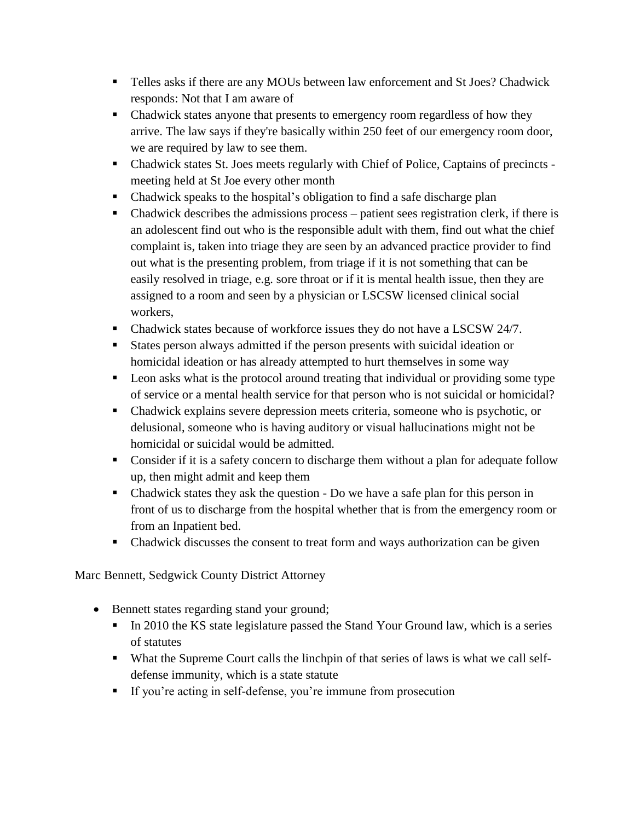- Telles asks if there are any MOUs between law enforcement and St Joes? Chadwick responds: Not that I am aware of
- Chadwick states anyone that presents to emergency room regardless of how they arrive. The law says if they're basically within 250 feet of our emergency room door, we are required by law to see them.
- Chadwick states St. Joes meets regularly with Chief of Police, Captains of precincts meeting held at St Joe every other month
- Chadwick speaks to the hospital's obligation to find a safe discharge plan
- $\blacksquare$  Chadwick describes the admissions process patient sees registration clerk, if there is an adolescent find out who is the responsible adult with them, find out what the chief complaint is, taken into triage they are seen by an advanced practice provider to find out what is the presenting problem, from triage if it is not something that can be easily resolved in triage, e.g. sore throat or if it is mental health issue, then they are assigned to a room and seen by a physician or LSCSW licensed clinical social workers,
- Chadwick states because of workforce issues they do not have a LSCSW 24/7.
- States person always admitted if the person presents with suicidal ideation or homicidal ideation or has already attempted to hurt themselves in some way
- **EXECUTE:** Leon asks what is the protocol around treating that individual or providing some type of service or a mental health service for that person who is not suicidal or homicidal?
- Chadwick explains severe depression meets criteria, someone who is psychotic, or delusional, someone who is having auditory or visual hallucinations might not be homicidal or suicidal would be admitted.
- Consider if it is a safety concern to discharge them without a plan for adequate follow up, then might admit and keep them
- Chadwick states they ask the question Do we have a safe plan for this person in front of us to discharge from the hospital whether that is from the emergency room or from an Inpatient bed.
- Chadwick discusses the consent to treat form and ways authorization can be given

Marc Bennett, Sedgwick County District Attorney

- Bennett states regarding stand your ground;
	- In 2010 the KS state legislature passed the Stand Your Ground law, which is a series of statutes
	- What the Supreme Court calls the linchpin of that series of laws is what we call selfdefense immunity, which is a state statute
	- If you're acting in self-defense, you're immune from prosecution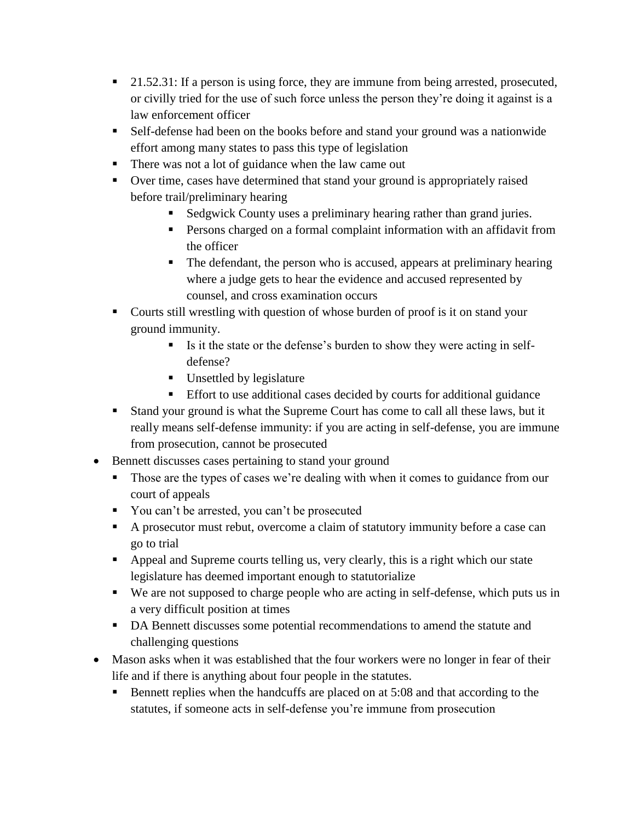- 21.52.31: If a person is using force, they are immune from being arrested, prosecuted, or civilly tried for the use of such force unless the person they're doing it against is a law enforcement officer
- Self-defense had been on the books before and stand your ground was a nationwide effort among many states to pass this type of legislation
- There was not a lot of guidance when the law came out
- Over time, cases have determined that stand your ground is appropriately raised before trail/preliminary hearing
	- Sedgwick County uses a preliminary hearing rather than grand juries.
	- **Persons charged on a formal complaint information with an affidavit from** the officer
	- The defendant, the person who is accused, appears at preliminary hearing where a judge gets to hear the evidence and accused represented by counsel, and cross examination occurs
- Courts still wrestling with question of whose burden of proof is it on stand your ground immunity.
	- Is it the state or the defense's burden to show they were acting in selfdefense?
	- **Unsettled by legislature**
	- Effort to use additional cases decided by courts for additional guidance
- Stand your ground is what the Supreme Court has come to call all these laws, but it really means self-defense immunity: if you are acting in self-defense, you are immune from prosecution, cannot be prosecuted
- Bennett discusses cases pertaining to stand your ground
	- Those are the types of cases we're dealing with when it comes to guidance from our court of appeals
	- You can't be arrested, you can't be prosecuted
	- A prosecutor must rebut, overcome a claim of statutory immunity before a case can go to trial
	- Appeal and Supreme courts telling us, very clearly, this is a right which our state legislature has deemed important enough to statutorialize
	- We are not supposed to charge people who are acting in self-defense, which puts us in a very difficult position at times
	- DA Bennett discusses some potential recommendations to amend the statute and challenging questions
- Mason asks when it was established that the four workers were no longer in fear of their life and if there is anything about four people in the statutes.
	- Bennett replies when the handcuffs are placed on at 5:08 and that according to the statutes, if someone acts in self-defense you're immune from prosecution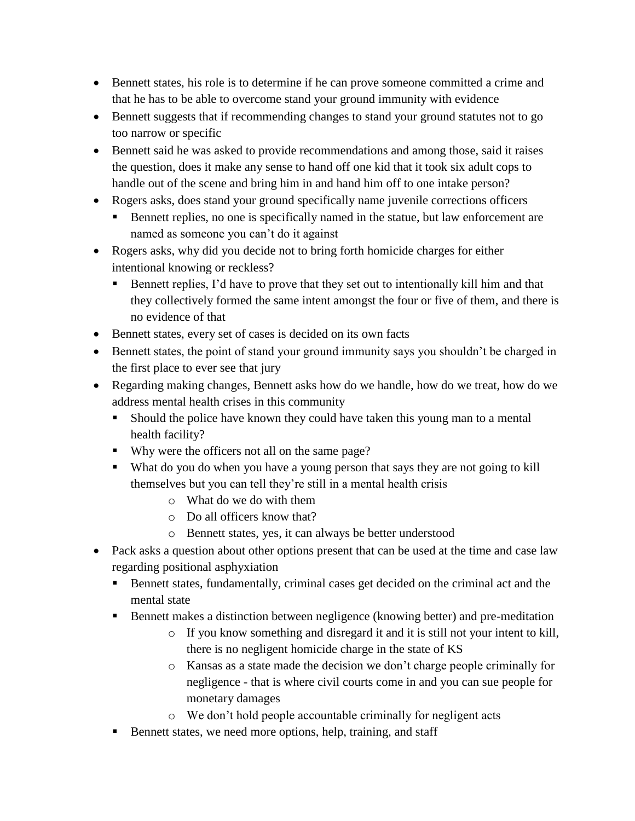- Bennett states, his role is to determine if he can prove someone committed a crime and that he has to be able to overcome stand your ground immunity with evidence
- Bennett suggests that if recommending changes to stand your ground statutes not to go too narrow or specific
- Bennett said he was asked to provide recommendations and among those, said it raises the question, does it make any sense to hand off one kid that it took six adult cops to handle out of the scene and bring him in and hand him off to one intake person?
- Rogers asks, does stand your ground specifically name juvenile corrections officers
	- Bennett replies, no one is specifically named in the statue, but law enforcement are named as someone you can't do it against
- Rogers asks, why did you decide not to bring forth homicide charges for either intentional knowing or reckless?
	- Bennett replies, I'd have to prove that they set out to intentionally kill him and that they collectively formed the same intent amongst the four or five of them, and there is no evidence of that
- Bennett states, every set of cases is decided on its own facts
- Bennett states, the point of stand your ground immunity says you shouldn't be charged in the first place to ever see that jury
- Regarding making changes, Bennett asks how do we handle, how do we treat, how do we address mental health crises in this community
	- Should the police have known they could have taken this young man to a mental health facility?
	- Why were the officers not all on the same page?
	- What do you do when you have a young person that says they are not going to kill themselves but you can tell they're still in a mental health crisis
		- o What do we do with them
		- o Do all officers know that?
		- o Bennett states, yes, it can always be better understood
- Pack asks a question about other options present that can be used at the time and case law regarding positional asphyxiation
	- Bennett states, fundamentally, criminal cases get decided on the criminal act and the mental state
	- Bennett makes a distinction between negligence (knowing better) and pre-meditation
		- o If you know something and disregard it and it is still not your intent to kill, there is no negligent homicide charge in the state of KS
		- o Kansas as a state made the decision we don't charge people criminally for negligence - that is where civil courts come in and you can sue people for monetary damages
		- o We don't hold people accountable criminally for negligent acts
	- Bennett states, we need more options, help, training, and staff